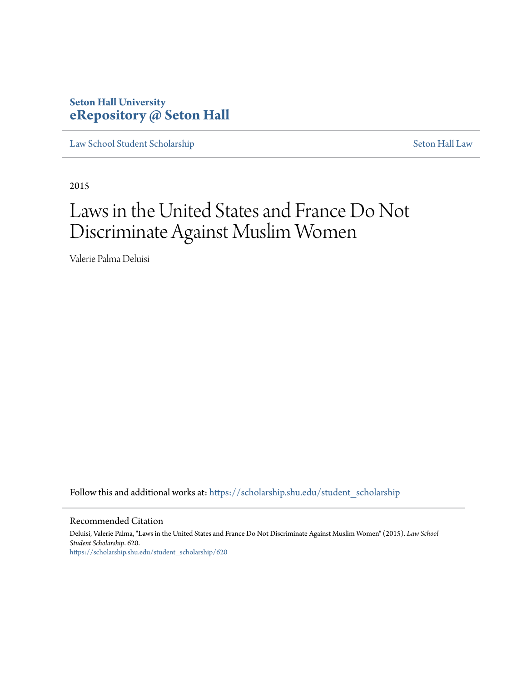# **Seton Hall University [eRepository @ Seton Hall](https://scholarship.shu.edu?utm_source=scholarship.shu.edu%2Fstudent_scholarship%2F620&utm_medium=PDF&utm_campaign=PDFCoverPages)**

[Law School Student Scholarship](https://scholarship.shu.edu/student_scholarship?utm_source=scholarship.shu.edu%2Fstudent_scholarship%2F620&utm_medium=PDF&utm_campaign=PDFCoverPages) [Seton Hall Law](https://scholarship.shu.edu/law?utm_source=scholarship.shu.edu%2Fstudent_scholarship%2F620&utm_medium=PDF&utm_campaign=PDFCoverPages)

2015

# Laws in the United States and France Do Not Discriminate Against Muslim Women

Valerie Palma Deluisi

Follow this and additional works at: [https://scholarship.shu.edu/student\\_scholarship](https://scholarship.shu.edu/student_scholarship?utm_source=scholarship.shu.edu%2Fstudent_scholarship%2F620&utm_medium=PDF&utm_campaign=PDFCoverPages)

#### Recommended Citation

Deluisi, Valerie Palma, "Laws in the United States and France Do Not Discriminate Against Muslim Women" (2015). *Law School Student Scholarship*. 620. [https://scholarship.shu.edu/student\\_scholarship/620](https://scholarship.shu.edu/student_scholarship/620?utm_source=scholarship.shu.edu%2Fstudent_scholarship%2F620&utm_medium=PDF&utm_campaign=PDFCoverPages)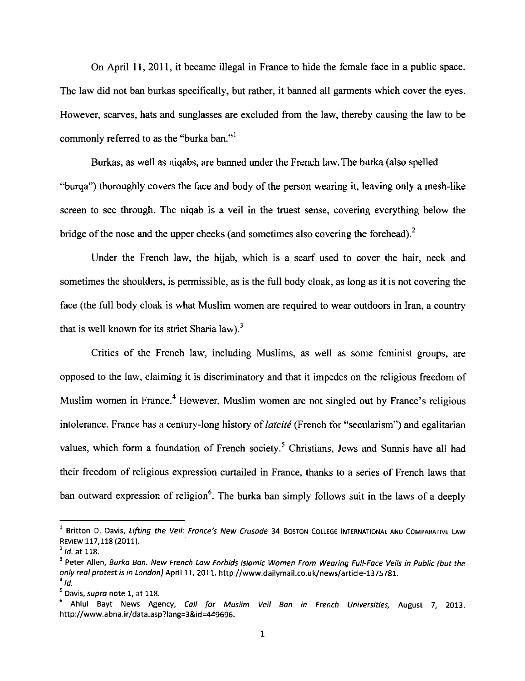On April ll, 2011, it became illegal in France to hide the female face in a public space. The law did not ban burkas specifically, but rather, it banned all garments which cover the eyes. However, scarves, hats and sunglasses are excluded from the law, thereby causing the law to be commonly referred to as the "burka ban."<sup>1</sup>

Burkas, as well as niqabs, are banned under the French law.The burka (also spelled "burga") thoroughly covers the face and body of the person wearing it, leaving only a mesh-like screen to see through. The niqab is a veil in the truest sense, covering everything below the bridge of the nose and the upper cheeks (and sometimes also covering the forehead).<sup>2</sup>

Under the French law, the hijab, which is a scarf used to cover the hair, neck and sometimes the shoulders, is permissible, as is the full body cloak, as long as it is not covering the face (the full body cloak is what Muslim women are required to wear outdoors in Iran, a country that is well known for its strict Sharia law).<sup>3</sup>

Critics of the French law, including Muslims, as well as some feminist groups, are opposed to the law, claiming it is discriminatory and that it impedes on the religious freedom of Muslim women in France.<sup>4</sup> However, Muslim women are not singled out by France's religious intolerance. France has a century-long history of *laïcité* (French for "secularism") and egalitarian values, which form a foundation of French society.<sup>5</sup> Christians, Jews and Sunnis have all had their freedom of religious expression curtailed in France, thanks to a series of French laws that ban outward expression of religion<sup>6</sup>. The burka ban simply follows suit in the laws of a deeply

 $<sup>1</sup>$  Britton D. Davis, Lifting the Veil: France's New Crusade 34 Boston College International and Comparative Law</sup> REVIEW 117,118 (2011).

 $^2$  ld. at 118.

<sup>&</sup>lt;sup>3</sup> Peter Allen, Burka Ban. New French Law Forbids Islamic Women From Wearing Full-Face Veils in Public (but the only real protest is in London) April 11, 2011. http://www.dailymail.co.uk/news/article-1375781.  $^4$  Ia.  $^4$ 

<sup>&</sup>lt;sup>5</sup> Davis, supra note 1, at 118.<br><sup>6</sup> Ahlul Bayt News Agency, *Coll for Muslim Veil Bon in French Universities, August 7, 2013.* http://www.abna.ir/data.asp?lang=3&id=449696.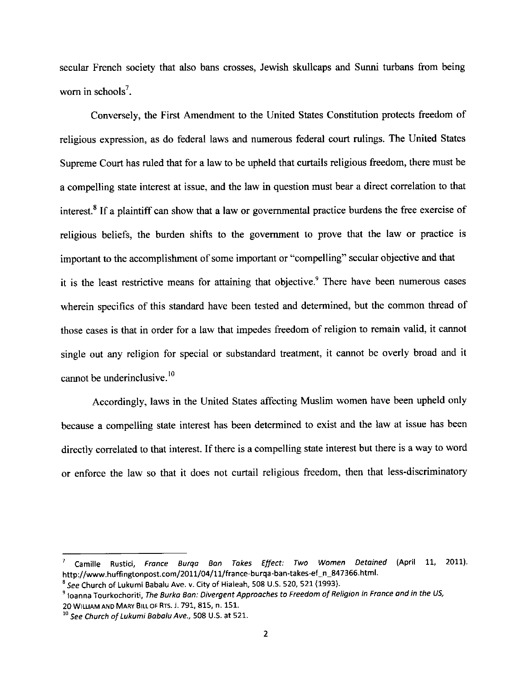secular French society that also bans crosses, Jewish skullcaps and Surmi turbans from being wom in schools<sup>7</sup>.

Conversely, the First Amendment to the United States Constitution protects freedom of religious expression, as do federal laws and numerous federal court rulings. The United States Supreme Court has ruled that for a law to be upheld that curtails religious freedom, there must be a compelling state interest at issue, and the law in question must bear a direct correlation to that interest.<sup>8</sup> If a plaintiff can show that a law or governmental practice burdens the free exercise of religious beliefs, the burden shifts to the govemment to prove that the law or practice is important to the accomplishment of some important or "compelling" secular objective and that it is the least restrictive means for attaining that objective.<sup>9</sup> There have been numerous cases wherein specifics of this standard have been tested and determined, but the common thread of those cases is that in order for a law that impedes freedom of religion to remain valid, it cannot single out any religion for special or substandard treatment, it cannot be overly broad and it cannot be underinclusive.  $10<sup>10</sup>$ 

Accordingly, laws in the United States affecting Muslim women have been upheld only because a compelling state interest has been determined to exist and the law at issue has been directly correlated to that interest. If there is a compelling state interest but there is a way to word or enforce the law so that it does not curtail religious freedom, then that less-discriminatory

Camille Rustici, France Burga Ban Takes Effect: Two Women Detained (April 11, 2011). http://www.huffingtonpost.com/2011/04/11/france-burqa-ban-takes-ef-n-847366.htm1.

 $8$  See Church of Lukumi Babalu Ave. v. City of Hialeah, 508 U.S. 520, 521 (1993).

<sup>&</sup>lt;sup>9</sup> Ioanna Tourkochoriti, The Burka Ban: Divergent Approaches to Freedom of Religion in France and in the US, 20 WILLIAM AND MARY BILL OF RTS. J. 791, 815, n. 151.

 $10$  See Church of Lukumi Babalu Ave., 508 U.S. at 521.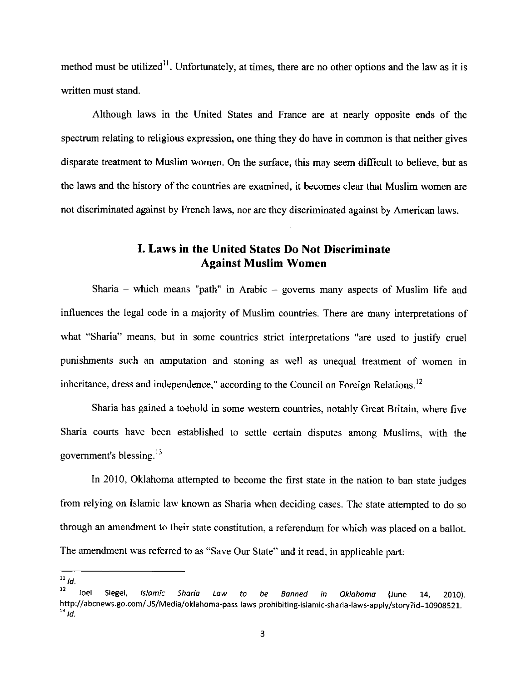method must be utilized<sup>11</sup>. Unfortunately, at times, there are no other options and the law as it is written must stand.

Although laws in the United States and France are at nearly opposite ends of the spectrum relating to religious expression, one thing they do have in common is that neither gives disparate treatrnent to Muslim women. On the surface, this may seem difficult to believe, but as the laws and the history of the countries are examined, it becomes clear that Muslim women are not discriminated against by French laws, nor are they discriminated against by American laws.

## I. Laws in the United States Do Not Discriminate Against Muslim Women

Sharia – which means "path" in Arabic – governs many aspects of Muslim life and influences the legal code in a majority of Muslim countries. There are many interpretations of what "Sharia" means, but in some countries strict interpretations "are used to justify cruel punishments such an amputation and stoning as well as unequal treatment of women in inheritance, dress and independence," according to the Council on Foreign Relations.<sup>12</sup>

Sharia has gained a toehold in some westem countries, notably Great Britain, where five Sharia courts have been established to settle certain disputes among Muslims, with the government's blessing. $13$ 

In 2010, Oklahoma attempted to become the first state in the nation to ban state judges from relying on Islamic law known as Sharia when deciding cases. The state attempted to do so through an amendment to their state constitution, a referendum for which was placed on a ballot. The amendment was referred to as "Save Our State" and it read, in applicable part:

<sup>&</sup>lt;sup>11</sup> ld.<br><sup>12</sup> Joel Siegel, Islamic Sharia Law to be Banned in Oklahoma (June 14, 2010). http://abcnews.go.com/US/Media/oklahoma-pass-laws-prohibiting-islamic-sharia-laws-apply/story?id=10908521.<br><sup>13</sup> Id.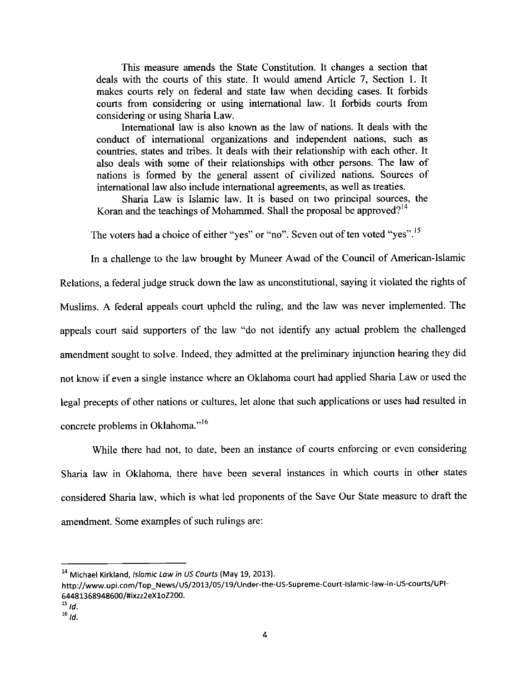This measure amends the State Constitution. It changes a section that deals with the courts of this state. It would amend Article 7, Section 1. It makes courts rely on federal and state law when deciding cases. It forbids courts from considering or using intemational law. It forbids courts from considering or using Sharia Law.

International law is also known as the law of nations. It deals with the conduct of intemational organizations and independent nations, such as countries, states and tribes. It deals with their relationship with each other. It also deals with some of their relationships with other persons. The law of nations is formed by the general assent of civilized nations. Sources of international law also include international agreements, as well as treaties.

Sharia Law is Islamic law. It is based on two principal sources, the Koran and the teachings of Mohammed. Shall the proposal be approved?<sup>14</sup>

The voters had a choice of either "yes" or "no". Seven out of ten voted "yes".<sup>15</sup>

In a challenge to the law brought by Muneer Awad of the Council of American-Islamic Relations, a federal judge struck down the law as unconstitutional, saying it violated the rights of Muslims. A federal appeals court upheld the ruling, and the law was never implemented. The appeals court said supporters of the law "do not identify any actual problem the challenged amendment sought to solve. lndeed, they admitted at the preliminary injunction hearing they did not know if even a single instance where an Oklahoma court had applied Sharia Law or used the legal precepts of other nations or cultures, let alone that such applications or uses had resulted in concrete problems in Oklahoma."<sup>16</sup>

While there had not, to date, been an instance of courts enforcing or even considering Sharia law in Oklahoma, there have been several instances in which courts in other states considered Sharia law, which is what led proponents of the Save Our State measure to draft the amendment. Some examples of such rulings are:

<sup>14</sup> Michael Kirkland, *Islamic Law in US Courts* (May 19, 2013).

http://www.upi.com/Top\_News/US/2013/05/19/Under-the-US-Supreme-Court-Islamic-law-in-US-courts/UPI-64481368948600/#ixzz2eX1oZ200.

 $15$   $\,$  td.

 $^{16}$  ld.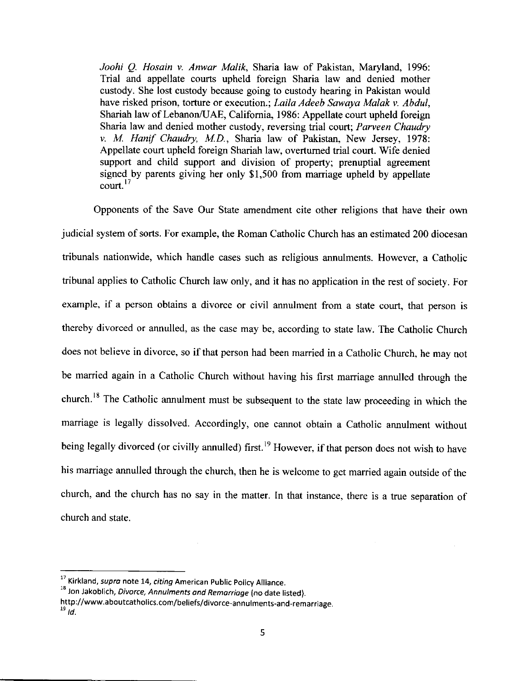Joohi Q. Hosain v. Anwar Malik, Sharia law of Pakistan, Maryland, 1996: Trial and appellate courts upheld foreign Sharia law and denied mother custody. She lost custody because going to custody hearing in Pakistan would have risked prison, torture or execution.; Laila Adeeb Sawaya Malak v. Abdul, Shariah law of Lebanon/UAE, Califomia, 1986: Appellate court upheld foreign Sharia law and denied mother custody, reversing trial court; Parveen Chaudry v. M. Hanif Chaudry, M.D., Sharia law of Pakistan, New Jersey, 1978: Appellate court upheld foreign Shariah law, overtumed trial court. Wife denied support and child support and division of property; prenuptial agreement signed by parents giving her only \$1,500 from marriage upheld by appellate  $\text{court.}^{17}$ 

Opponents of the Save Our State amendment cite other religions that have their own judicial system of sorts. For example, the Roman Catholic Church has an estimated 200 diocesan tribunals nationwide, which handle cases such as religious annulments. However, a Catholic tribunal applies to Catholic Church law on1y, and it has no application in the rest of society. For example, if a person obtains a divorce or civil annulment from a state court, that person is thereby divorced or annulled, as the case may be, according to state law. The catholic church does not believe in divorce, so if that person had been married in a catholic church, he may nor be married again in a Catholic Church without having his first marriage annulled through the church.<sup>18</sup> The Catholic annulment must be subsequent to the state law proceeding in which the marriage is legally dissolved. Accordingly, one cannot obtain a Catholic annulment without being legally divorced (or civilly annulled) first.<sup>19</sup> However, if that person does not wish to have his marriage annulled through the church, then he is welcome to get married again outside of the church, and the church has no say in the matter. In that instance, there is a true separation of church and state.

<sup>&</sup>lt;sup>17</sup> Kirkland, supra note 14, citing American Public Policy Alliance.

 $18$  Jon Jakoblich, Divorce, Annulments and Remarriage (no date listed).

http://www.aboutcatholics.com/beliefs/divorce-annulments-and-remarriage.  $^{19}$  ld.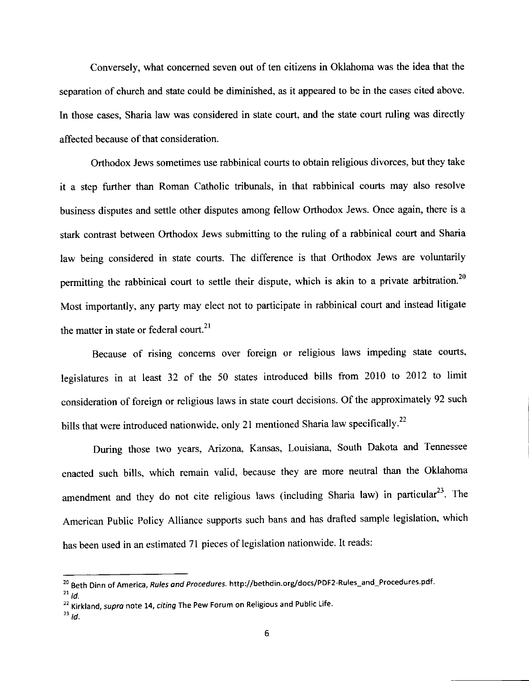Conversely, what concemed seven out of ten citizens in Oklahoma was the idea that the separation of church and state could be diminished, as it appeared to be in the cases cited above. In those cases, Sharia law was considered in state court, and the state court ruling was directly affected because of that consideration.

Orthodox Jews sometimes use rabbinical courts to obtain religious divorces, but they take it a step further than Roman Catholic tribunals, in that rabbinical courts may also resolve business disputes and settle other disputes among fellow Orthodox Jews. Once again, there is a stark contrast between Orthodox Jews submitting to the ruling of a rabbinical court and Sharia law being considered in state courts. The difference is that Orthodox Jews are voluntarily permitting the rabbinical court to settle their dispute, which is akin to a private arbitration.<sup>20</sup> Most importantly, any party may elect not to participate in rabbinical court and instead litigate the matter in state or federal court.<sup>21</sup>

Because of rising concerns over foreign or religious laws impeding state courts, legislatures in at least 32 of the 50 states introduced bills from 2010 to 2012 to limit consideration of foreign or religious laws in state court decisions. Of the approximately 92 such bills that were introduced nationwide, only 21 mentioned Sharia law specifically.<sup>22</sup>

During those two years, Arizona, Kansas, Louisiana, South Dakota and Tennessee enacted such bills, which remain valid, because they are more neutral than the Oklahoma amendment and they do not cite religious laws (including Sharia law) in particular<sup>23</sup>. The American Public Policy Alliance supports such bans and has drafted sample legislation, which has been used in an estimated 7l pieces of legislation nationwide. It reads:

<sup>&</sup>lt;sup>20</sup> Beth Dinn of America, Rules and Procedures. http://bethdin.org/docs/PDF2-Rules\_and\_Procedures.pdf.

 $^{21}$  ld.

 $^{22}$  Kirkland, supra note 14, citing The Pew Forum on Religious and Public Life.

 $^{23}$  ld.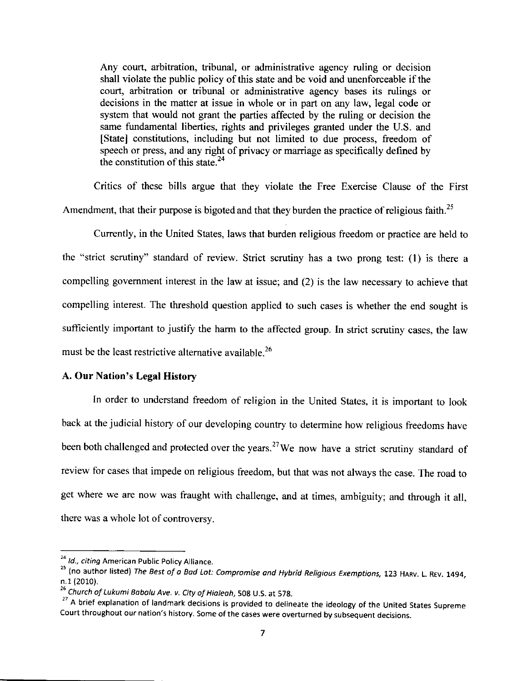Any court, arbitration, tribunal, or administrative agency ruling or decision shall violate the public policy of this state and be void and unenforceable if the court, arbitration or tribunal or administrative agency bases its rulings or decisions in the matter at issue in whole or in part on any law, legal code or system that would not grant the parties affected by the ruling or decision the same fundamental liberties, rights and privileges granted under the U.S. and [State] constitutions, including but not limited to due process, freedom of speech or press, and any right of privacy or marriage as specifically defined by the constitution of this state. $24$ 

Critics of these bills argue that they violate the Free Exercise Clause of the First Amendment, that their purpose is bigoted and that they burden the practice of religious faith.<sup>25</sup>

Currently, in the United States, laws that burden religious freedom or practice are held to the "strict scrutiny" standard of review. Strict scrutiny has a two prong test: (l) is there <sup>a</sup> compelling govemment interest in the law at issue; and (2) is the law necessary to achieve that compelling interest. The threshold question applied to such cases is whether the end sought is sufficiently important to justify the harm to the affected group. In strict scrutiny cases, the law must be the least restrictive alternative available.<sup>26</sup>

#### A. Our Nation's Legal History

In order to understand freedom of religion in the United States, it is important to look back at the judicial history of our developing country to determine how religious freedoms have been both challenged and protected over the years.<sup>27</sup>We now have a strict scrutiny standard of review for cases that impede on religious freedom, but that was not always the case. The road to get where we are now was fraught with challenge, and at times, ambiguity; and through it all, there was a whole lot of controversy.

<sup>&</sup>lt;sup>24</sup> Id., citing American Public Policy Alliance.

<sup>&</sup>lt;sup>25</sup> (no author listed) The Best of a Bad Lot: Compromise and Hybrid Religious Exemptions, 123 HARV. L. REV. 1494, n.1(2010).

<sup>&</sup>lt;sup>26</sup> Church of Lukumi Babalu Ave. v. City of Hialeah, 508 U.S. at 578.

<sup>&</sup>lt;sup>27</sup> A brief explanation of landmark decisions is provided to delineate the ideology of the United States Supreme court throughout our nation's history. some of the cases were overturned by subsequent decisions.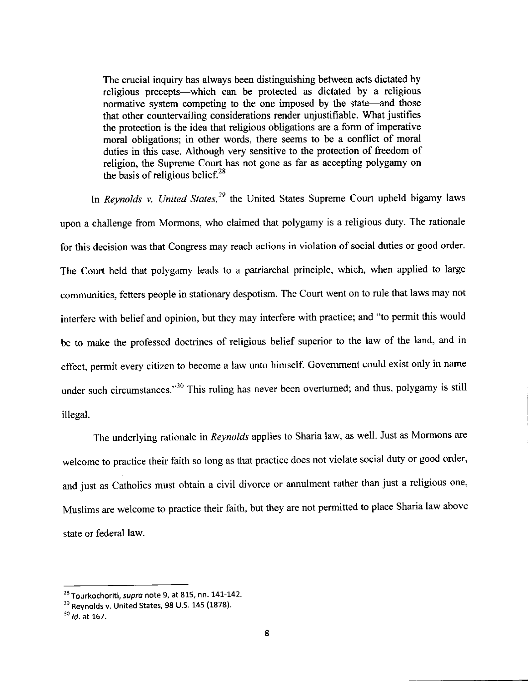The crucial inquiry has always been distinguishing between acts dictated by religious precepts—which can be protected as dictated by a religious normative system competing to the one imposed by the state-and those that other countervailing considerations render unjustifiable. What justifies the protection is the idea that religious obligations are a form of imperative moral obligations; in other words, there seems to be a conflict of moral duties in this case. Although very sensitive to the protection of freedom of religion, the Supreme Court has not gone as far as accepting polygamy on the basis of religious belief. $^{28}$ 

In Reynolds v. United States,<sup>29</sup> the United States Supreme Court upheld bigamy laws upon a challenge from Mormons, who claimed that polygamy is a religious duty. The rationale for this decision was that Congress may reach actions in violation of social duties or good order. The Cout held that polygamy leads to a patriarchal principle, which, when applied to large communities, fetters people in stationary despotism. The Court went on to rule that laws may not interfere with belief and opinion. but they may interfere with practice; and "to permit this would be to make the professed doctrines of religious belief superior to the law of the land, and in effect, permit every citizen to become a law unto himself. Govemment could exist only in name under such circumstances."<sup>30</sup> This ruling has never been overturned; and thus, polygamy is still illegal.

The underlying rationale in Reynolds applies to Sharia law, as well. Just as Mormons are welcome to practice their faith so long as that practice does not violate social duty or good order, and just as Catholics must obtain a civil divorce or annulment rather than just a religious one, Muslims are welcome to practice their faith, but they are not permitted to place Sharia law above state or federal law.

<sup>&</sup>lt;sup>28</sup> Tourkochoriti, supra note 9, at 815, nn. 141-142.

 $29$  Reynolds v. United States, 98 U.S. 145 (1878).

 $^{30}$  *ld.* at 167.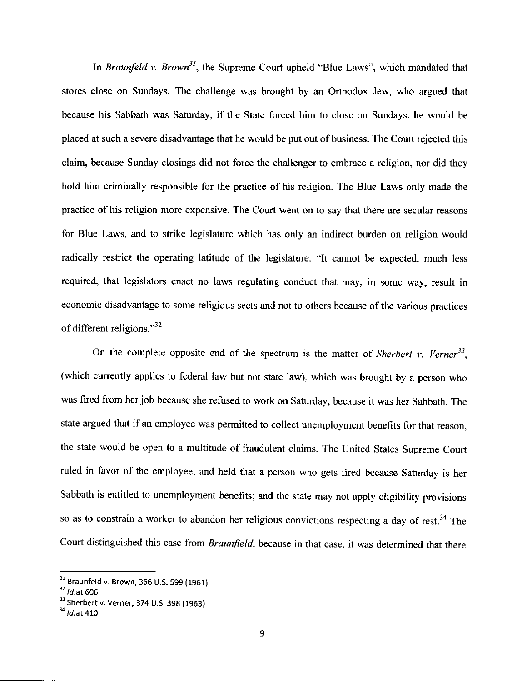In Braunfeld v. Brown<sup>31</sup>, the Supreme Court upheld "Blue Laws", which mandated that stores close on Sundays. The challenge was brought by an Orthodox Jew, who argued that because his Sabbath was Saturday, if the State forced him to close on Sundays, he would be placed at such a severe disadvantage that he would be put out of business. The Court rejected this claim, because Sunday closings did not force the challenger to embrace a religion, nor did they hold him criminally responsible for the practice of his religion. The Blue Laws only made the practice of his religion more expensive. The Court went on to say that there are secular reasons for Blue Laws, and to strike legislature which has only an indirect burden on religion would radically restrict the operating latitude of the legislature. "lt cannot be expected, much less required, that legislators enact no laws regulating conduct that may, in some way, result in economic disadvantage to some religious sects and not to others because of the various practices of different religions." $32$ 

On the complete opposite end of the spectrum is the matter of Sherbert v. Verner<sup>33</sup>, (which currently applies to federal law but not state law), which was brought by a person who was fired from her job because she refused to work on Saturday, because it was her Sabbath. The state argued that if an employee was permitted to collect unemployment benefits for that reason, the state would be open to a multitude of fraudulent claims. The United States Supreme Court ruled in favor of the employee, and held that a person who gets fired because Saturday is her Sabbath is entitled to unemployment benefits; and the state may not apply eligibility provisions so as to constrain a worker to abandon her religious convictions respecting a day of rest.<sup>34</sup> The Court distinguished this case from Braunfield, because in that case, it was determined that there

 $\frac{31}{32}$  Braunfeld v. Brown, 366 U.S. 599 (1961).<br> $\frac{32}{1}$  Id.at 606.

<sup>&</sup>lt;sup>33</sup> Sherbert v. Verner, 374 U.S. 398 (1963).

 $34$  *ld.*at 410.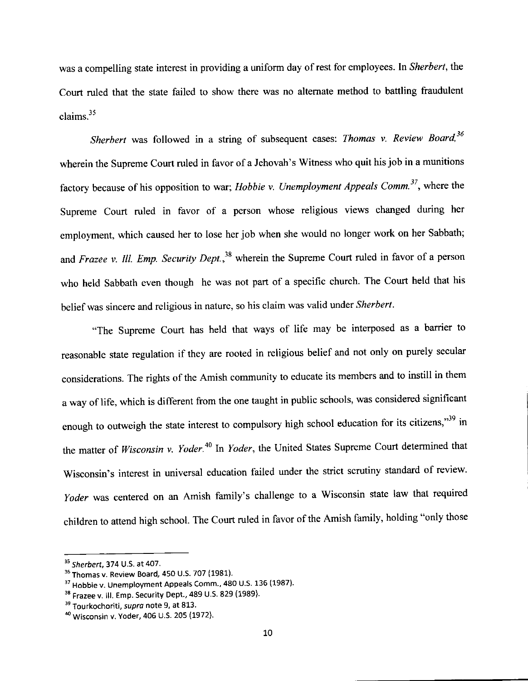was a compelling state interest in providing a uniform day of rest for employees. In Sherbert, the Court ruled that the state failed to show there was no alternate method to battling fraudulent claims.<sup>35</sup>

Sherbert was followed in a string of subsequent cases: Thomas v. Review Board,<sup>36</sup> wherein the Supreme Court ruled in favor of a Jehovah's Witness who quit his job in a munitions factory because of his opposition to war; *Hobbie v. Unemployment Appeals Comm.*<sup>37</sup>, where the Supreme Court ruled in favor of a person whose religious views changed during her employment, which caused her to lose her job when she would no longer work on her Sabbath; and Frazee v. Ill. Emp. Security Dept.,<sup>38</sup> wherein the Supreme Court ruled in favor of a person who held Sabbath even though he was not part of a specific church. The Court held that his belief was sincere and religious in nature, so his claim was valid under Sherbert.

"The Supreme Court has held that ways of life may be interposed as a barrier to reasonable state regulation if they are rooted in religious belief and not only on purely secular considerations. The rights of the Amish community to educate its members and to instill in them a way of life, which is different from the one taught in public schools, was considered significant enough to outweigh the state interest to compulsory high school education for its citizens,"<sup>39</sup> in the matter of Wisconsin v. Yoder.<sup>40</sup> In Yoder, the United States Supreme Court determined that Wisconsin's interest in universal education failed under the strict scrutiny standard of review. Yoder was centered on an Amish family's challenge to a Wisconsin state law that required children to attend high school. The Court ruled in favor of the Amish family, holding "only those

<sup>&</sup>lt;sup>35</sup> Sherbert, 374 U.S. at 407.

<sup>36</sup> Thomas v. Review Board, 450 U.S. 707 (1981).

<sup>&</sup>lt;sup>37</sup> Hobbie v. Unemployment Appeals Comm., 480 U.S. 136 (1987).

<sup>&</sup>lt;sup>38</sup> Frazee v. III. Emp. Security Dept., 489 U.S. 829 (1989).

<sup>&</sup>lt;sup>39</sup> Tourkochoriti, supra note 9, at 813.

<sup>&</sup>lt;sup>40</sup> Wisconsin v. Yoder, 406 U.S. 205 (1972).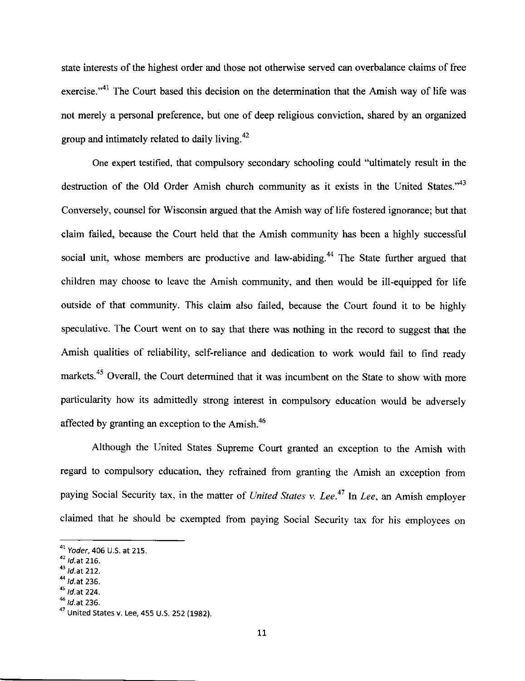state interests of the highest order and those not otherwise served can overbalance claims of free exercise."<sup>41</sup> The Court based this decision on the determination that the Amish way of life was not merely a personal preference, but one of deep religious conviction, shared by an organized group and intimately related to daily living. $42$ 

One expert testified, that compulsory secondary schooling could "ultimately result in the destruction of the Old Order Amish church community as it exists in the United States."<sup>43</sup> Conversely, counsel for Wisconsin argued that the Amish way of life fostered ignorance; but that claim failed, because the Court held that the Amish community has been a highly successful social unit, whose members are productive and law-abiding.<sup>44</sup> The State further argued that children may choose to leave the Amish community, and then would be ill-equipped for life outside of that community. This claim also failed, because the Court found it to be highly speculative. The Court went on to say that there was nothing in the record to suggest that the Amish qualities of reliability, self-reliance and dedication to work would fail to find ready markets.<sup>45</sup> Overall, the Court determined that it was incumbent on the State to show with more particularity how its admittedly strong interest in compulsory education would be adversely affected by granting an exception to the Amish. $46$ 

Although the United States Supreme Court granted an exception to the Amish with regard to compulsory education, they refrained from granting the Amish an exception from paying Social Security tax, in the matter of United States v. Lee.<sup>47</sup> In Lee, an Amish employer claimed that he should be exempted from paying Social Security tax for his employees on

 $44$  *Id.at* 236.

 $^6$  Id.at 236.

 $41$  Yoder, 406 U.S. at 215.

 $^{42}$  *ld.*at 216.<br> $^{43}$  *ld.*at 212.

 $45$  *Id.* at 224.

 $^{47}$  United States v. Lee, 455 U.S. 252 (1982).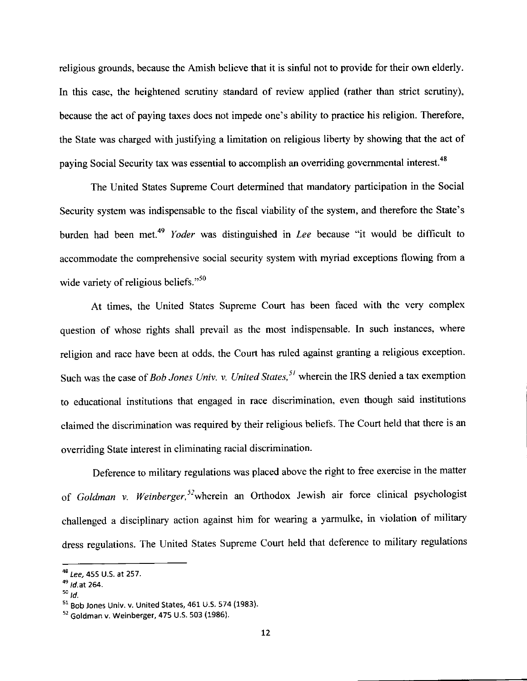religious grounds, because the Amish believe that it is sinful not to provide for their own elderly. In this case, the heightened scrutiny standard of review applied (rather than strict scrutiny), because the act of paying taxes does not impede one's ability to practice his religion. Therefore, the State was charged with justifying a limitation on religious liberty by showing that the act of paying Social Security tax was essential to accomplish an overriding governmental interest.<sup>48</sup>

The United States Supreme Court determined that mandatory participation in the Social Security system was indispensable to the fiscal viability of the system, and therefore the State's burden had been met.<sup>49</sup> Yoder was distinguished in Lee because "it would be difficult to accommodate the comprehensive social security system with myriad exceptions flowing from a wide variety of religious beliefs."<sup>50</sup>

At times, the United States Supreme Court has been faced with the very complex question of whose rights shall prevail as the most indispensable. In such instances, where religion and race have been at odds. the Court has ruled against granting a religious exception. Such was the case of *Bob Jones Univ. v. United States*,<sup>51</sup> wherein the IRS denied a tax exemption to educational institutions that engaged in race discrimination, even though said institutions claimed the discrimination was required by their religious beliefs. The Court held that there is an overriding State interest in eliminating racial discrimination.

Deference to military regulations was placed above the right to free exercise in the matter of Goldman v. Weinberger,<sup>52</sup>wherein an Orthodox Jewish air force clinical psychologist challenged a disciplinary action against him for wearing a yarmulke, in violation of military dress regulations. The United States Supreme Court held that deference to military regulations

<sup>&</sup>lt;sup>48</sup> Lee, 455 U.S. at 257.

 $^{49}$  *Id.* at 264.

 $50$   $\overline{d}$ .

 $51$  Bob Jones Univ. v. United States, 461 U.S. 574 (1983).

<sup>52</sup> Goldman v. Weinberger, 475 U.S. 503 (1986).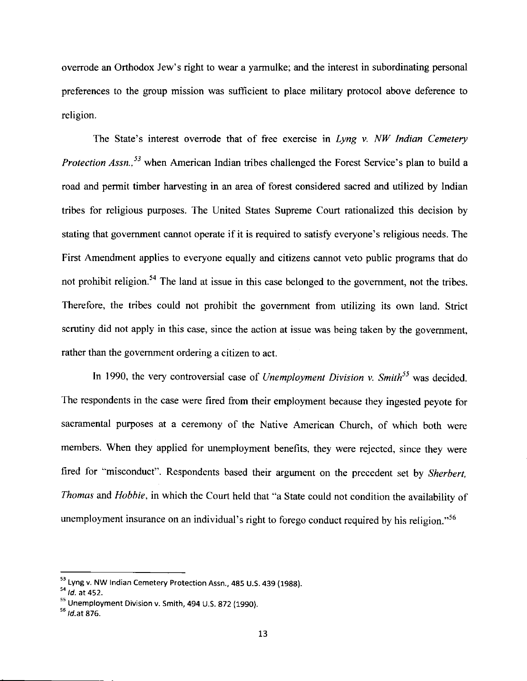overrode an Orthodox Jew's right to wear a yarmulke; and the interest in subordinating personal preferences to the group mission was sufficient to place military protocol above deference to religion.

The State's interest overrode that of free exercise in Lyng v.  $NW$  Indian Cemetery Protection Assn.,<sup>53</sup> when American Indian tribes challenged the Forest Service's plan to build a road and permit timber harvesting in an area of forest considered sacred and utilized by Indian tribes for religious purposes. The United States Supreme Court rationalized this decision by stating that government cannot operate if it is required to satisfy everyone's religious needs. The First Amendment applies to everyone equally and citizens cannot veto public programs that do not prohibit religion.<sup>54</sup> The land at issue in this case belonged to the government, not the tribes. Therefore, the tribes could not prohibit the government from utilizing its own land. Strict scrutiny did not apply in this case, since the action at issue was being taken by the govemment, rather than the govemment ordering a citizen to act.

In 1990, the very controversial case of *Unemployment Division v. Smith*<sup>55</sup> was decided. The respondents in the case were fired from their employment because they ingested peyote for sacramental purposes at a ceremony of the Native American church, of which both were members. When they applied for unemployment benefits, they were rejected, since they were fired for "misconduct". Respondents based their argument on the precedent set by sherbert, Thomas and Hobbie, in which the Court held that "a State could not condition the availability of unemployment insurance on an individual's right to forego conduct required by his religion."<sup>56</sup>

<sup>53</sup> Lyng v. NW Indian Cemetery Protection Assn., 485 U.S. 439 (1988).

 $54$  *Id.* at 452.

 $55$  Unemployment Division v. Smith, 494 U.S. 872 (1990).

 $<sup>56</sup>$  *Id.at* 876.</sup>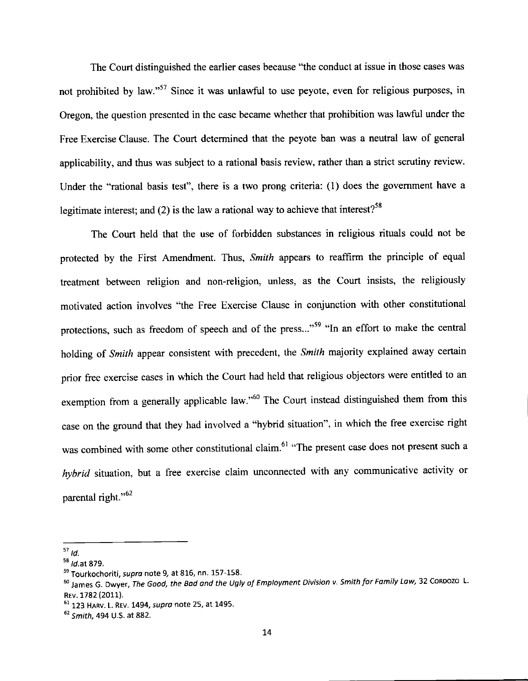The Court distinguished the earlier cases because "the conduct at issue in those cases was not prohibited by law."<sup>57</sup> Since it was unlawful to use peyote, even for religious purposes, in Oregon, the question presented in the case became whether that prohibition was lawful under the Free Bxercise Clause. The Court determined that the peyote ban was a neutral law of general applicability, and thus was subject to a rational basis review, rather than a strict scrutiny review. Under the "rational basis test", there is a two prong criteria: (1) does the government have a legitimate interest; and (2) is the law a rational way to achieve that interest?<sup>58</sup>

The Court held that the use of forbidden substances in religious rituals could not be protected by the First Amendment. Thus, Smith appears to reaffirm the principle of equal treatment between religion and non-religion, unless, as the Court insists, the religiously motivated action involves "the Free Exercise Clause in conjunction with other constitutional protections, such as freedom of speech and of the press..."<sup>59</sup> "In an effort to make the central holding of Smith appear consistent with precedent, the Smith majority explained away certain prior free exercise cases in which the Court had held that religious objectors were entitled to an exemption from a generally applicable law."<sup>60</sup> The Court instead distinguished them from this case on the ground that they had involved a "hybrid situation", in which the free exercise right was combined with some other constitutional claim.<sup>61</sup> "The present case does not present such a hybrid situation, but a free exercise claim unconnected with any communicative activity or parental right. $^{102}$ 

 $57$   $id$ 

 $58$  *ld.* at 879.

<sup>&</sup>lt;sup>59</sup> Tourkochoriti, supra note 9, at 816, nn. 157-158.

<sup>&</sup>lt;sup>60</sup> James G. Dwyer, The Good, the Bod ond the Ugly of Employment Division v. Smith for Fomily Law, 32 CORDOZO L. REv. 1782 (2011).

<sup>61 123</sup> HARV. L. REV. 1494, supra note 25, at 1495.

 $62$  Smith, 494 U.S. at 882.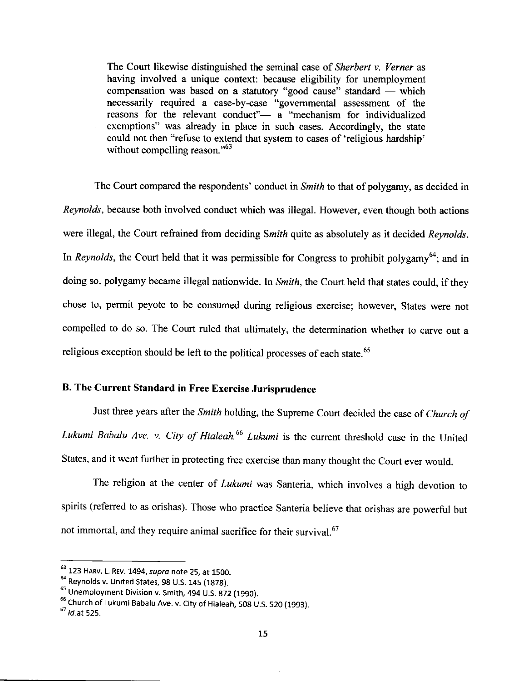The Court likewise distinguished the seminal case of *Sherbert v. Verner* as having involved a unique context: because eligibility for unemployment compensation was based on a statutory "good cause" standard — which compensation was based on a statutory good cause standard — which<br>necessarily required a case-by-case "governmental assessment of the reasons for the relevant conduct"- a "mechanism for individualized exemptions" was already in place in such cases. Accordingly, the state could not then "refuse to extend that system to cases of 'religious hardship' without compelling reason." $63$ 

The Court compared the respondents' conduct in *Smith* to that of polygamy, as decided in Reynolds, because both involved conduct which was illegal. However, even though both actions were illegal, the Court refrained from deciding Smith quite as absolutely as it decided Reynolds. In Reynolds, the Court held that it was permissible for Congress to prohibit polygamy<sup>64</sup>; and in doing so, polygamy became illegal nationwide. In Smith, the Court held that states could, if they chose to, permit peyote to be consumed during religious exercise; however, states were not compelled to do so. The Court ruled that ultimately, the determination whether to carve out <sup>a</sup> religious exception should be left to the political processes of each state.<sup>65</sup>

## B. The Current Standard in Free Exercise Jurisprudence

Just three years after the Smith holding, the Supreme Court decided the case of Church of Lukumi Babalu Ave. v. City of Hialeah.<sup>66</sup> Lukumi is the current threshold case in the United States, and it went further in protecting free exercise than many thought the court ever would.

The religion at the center of *Lukumi* was Santeria, which involves a high devotion to spirits (refened to as orishas). Those who practice Santeria believe that orishas are powerful but not immortal, and they require animal sacrifice for their survival.<sup>67</sup>

 $^{63}$  123 Harv. L. Rev. 1494, supra note 25, at 1500.

 $64$  Reynolds v. United States, 98 U.S. 145 (1878).

 $<sup>65</sup>$  Unemployment Division v. Smith, 494 U.S. 872 (1990).</sup>

<sup>&</sup>lt;sup>66</sup> Church of Lukumi Babalu Ave. v. City of Hialeah, 508 U.S. 520 (1993).

 $<sup>67</sup>$  *Id.at* 525.</sup>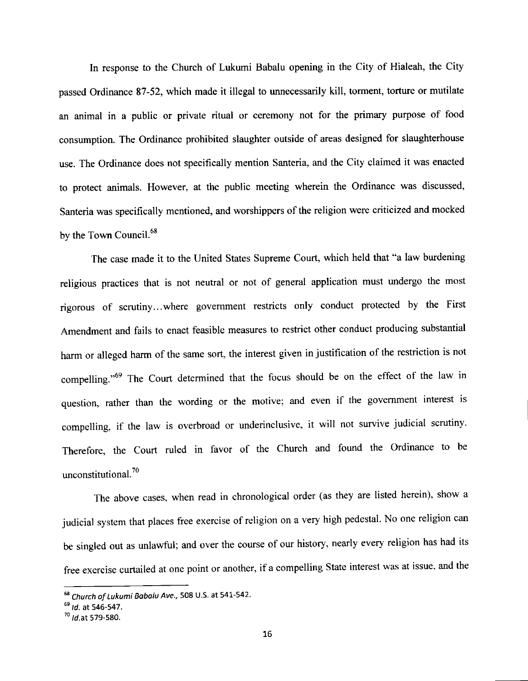In response to the Church of Lukumi Babalu opening in the City of Hialeah, the City passed Ordinance 87-52, which made it illegal to unnecessarily kill, torment, torture or mutilate an animal in a public or private ritual or ceremony not for the primary purpose of food consumption. The Ordinance prohibited slaughter outside of areas designed for slaughterhouse use. The Ordinance does not specifically mention Santeria, and the City claimed it was enacted to protect animals. However, at the public meeting wherein the ordinance was discussed, Santeria was specifically mentioned, and worshippers of the religion were criticized and mocked by the Town Council.<sup>68</sup>

The case made it to the United States Supreme Court, which held that "a law burdening religious practices that is not neutral or not of general application must undergo the most rigorous of scrutiny...where government restricts only conduct protected by the First Amendment and fails to enact feasible measures to restrict other conduct producing substantial harm or alleged harm of the same sort, the interest given in justification of the restriction is not compelling."<sup>69</sup> The Court determined that the focus should be on the effect of the law in question, rather than the wording or the motive; and even if the government interest is compelling, if the law is overbroad or underinclusive, it will not survive judicial scrutiny. Therefore, the Court ruled in favor of the Church and found the Ordinance to be unconstitutional.<sup>70</sup>

The above cases, when read in chronological order (as they are listed herein), show <sup>a</sup> judicial system that places free exercise of religion on a very high pedestal. No one religion can be singled out as unlawful; and over the course of our history, nearly every religion has had its free exercise curtailed at one point or another, if a compelling State interest was at issue, and the

<sup>&</sup>lt;sup>68</sup> Church of Lukumi Babalu Ave., 508 U.S. at 541-542.

 $^{69}$  Id. at 546-547.

 $10^{70}$  *ld.* at 579-580.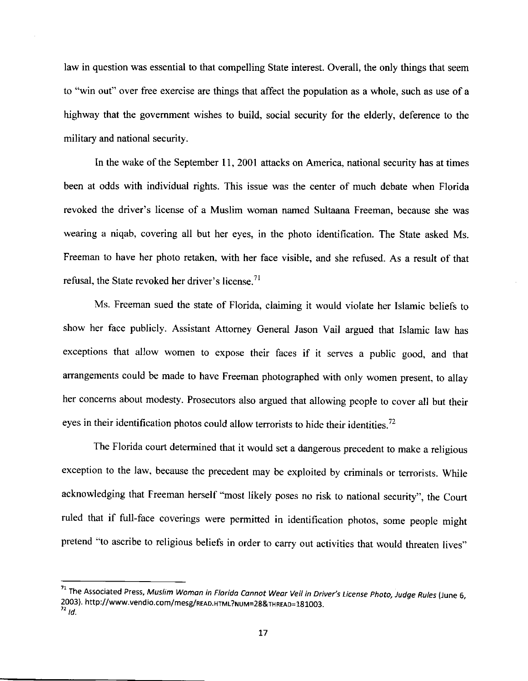law in question was essential to that compelling State interest. Overall, the only things that seem to "win out" over free exercise are things that affect the population as a whole, such as use of a highway that the govemment wishes to build, social security for the elderly, deference to the military and national security

In the wake of the September 11, 2001 attacks on America, national security has at times been at odds with individual rights. This issue was the center of much debate when Florida revoked the driver's license of a Muslim woman named Sultaana Freeman, because she was wearing a niqab, covering all but her eyes, in the photo identification. The State asked Ms. Freeman to have her photo retaken, with her face visible, and she refused. As a result of that refusal, the State revoked her driver's license.<sup>71</sup>

Ms. Freeman sued the state of Florida, claiming it would violate her Islamic beliefs to show her face publicly. Assistant Attomey General Jason Vail argued that Islamic law has exceptions that allow women to expose their faces if it serves a public good, and that arrangements could be made to have Freeman photographed with only women present, to allay her concems about modesty. Prosecutors also argued that allowing people to cover all but their eyes in their identification photos could allow terrorists to hide their identities.<sup>72</sup>

The Florida court determined that it would set a dangerous precedent to make a religious exception to the law, because the precedent may be exploited by criminals or terrorists. While acknowledging that Freeman herself "most likely poses no risk to national security", the Court ruled that if full-face coverings were permitted in identification photos, some people might pretend "to ascribe to religious beliefs in order to carry out activities that would threaten lives"

 $^{71}$  The Associated Press, Muslim Woman in Florida Cannot Wear Veil in Driver's License Photo, Judge Rules (June 6, 2003). http://www.vendio.com/mesg/READ.HTMT?NUM=2g&THREAD=1g1OO3\_  $^{\prime\prime}$  ld.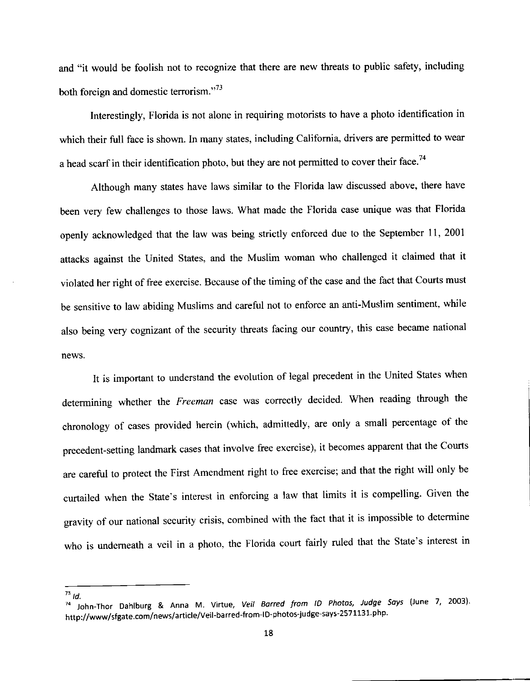and "it would be foolish not to recognize that there are new threats to public safety, including both foreign and domestic terrorism."<sup>73</sup>

Interestingly, Florida is not alone in requiring motorists to have a photo identification in which their full face is shown. In many states, including California, drivers are permitted to wear a head scarf in their identification photo, but they are not permitted to cover their face.<sup>74</sup>

Although many states have laws similar to the Florida law discussed above, there have been very few challenges to those laws. What made the Florida case unique was that Florida openly acknowledged that the law was being strictly enforced due to the September 11, 2001 attacks against the United States, and the Muslim woman who challenged it claimed that it violated her right of free exercise. Because of the timing of the case and the fact that Courts must be sensitive to law abiding Muslims and careful not to enforce an anti-Muslim sentiment, while also being very cognizant of the security threats facing our country, this case became national news.

It is important to understand the evolution of legal precedent in the United States when determining whether the Freeman case was correctly decided. When reading through the chronology of cases provided herein (which, admittedly, are only a small percentage of the precedent-setting landmark cases that involve free exercise), it becomes apparent that the Courts are careful to protect the First Amendment right to free exercise; and that the right will only be curtailed when the State's interest in enforcing a law that limits it is compelling. Given the gravity of our national security crisis, combined with the fact that it is impossible to determine who is underneath a veil in a photo, the Florida court fairly ruled that the State's interest in

 $^{73}$  Id.

 $74$  John-Thor Dahlburg & Anna M. Virtue, Veil Barred from ID Photos, Judge Says (June 7, 2003). http://www/sfgate.com/news/article/Veil-barred-from-ID-photos-judge-says-2571131 php.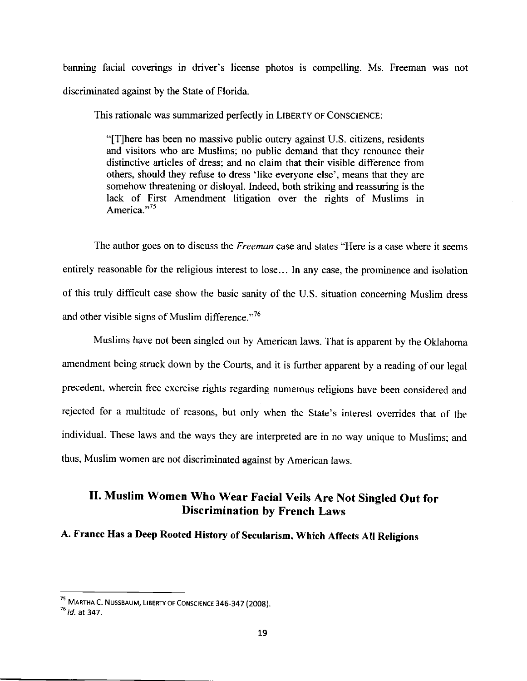banning facial coverings in driver's license photos is compelling. Ms. Freeman was not discriminated against by the State of Florida.

This rationale was summarized perfectly in LIBERTY OF CONSCIENCE:

"[T]here has been no massive public outcry against U.S. citizens, residents and visitors who are Muslims; no public demand that they renounce their distinctive articles of dress; and no claim that their visible difference from others, should they refuse to dress 'like everyone else', means that they are somehow threatening or disloyal. Indeed, both striking and reassuring is the lack of First Amendment litigation over the rights of Muslims in America."<sup>75</sup>

The author goes on to discuss the *Freeman* case and states "Here is a case where it seems entirely reasonable for the religious interest to lose... In any case, the prominence and isolation of this truly difficult case show the basic sanity of the U.S. situation conceming Muslim dress and other visible signs of Muslim difference."<sup>76</sup>

Muslims have not been singled out by American laws. That is apparent by the oklahoma amendment being struck down by the Courts, and it is further apparent by a reading of our legal precedent, wherein free exercise rights regarding numerous religions have been considered and rejected for a multitude of reasons, but only when the State's interest overrides that of the individual. These laws and the ways they are interpreted are in no way unique to Muslims; and thus, Muslim women are not discriminated against by American laws.

## II. Muslim Women Who Wear Facial Veils Are Not Singled Out for Discrimination by French Laws

## A. France Has a Deep Rooted History of Secularism, Which Affects All Religions

<sup>&</sup>lt;sup>75</sup> MARTHA C. NUSSBAUM, LIBERTY OF CONSCIENCE 346-347 (2008).

 $^{76}$  *ld.* at 347.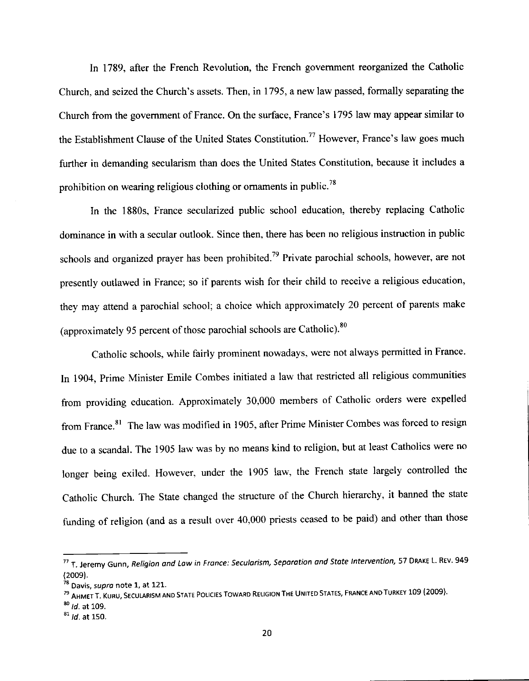In 1789, after the French Revolution, the French government reorganized the Catholic Church, and seized the Church's assets. Then, in 1795, a new law passed, formally sepamting the Church from the govemment of France. On the surface, France's 1795 law may appear similar to the Establishment Clause of the United States Constitution.<sup>77</sup> However, France's law goes much further in demanding secularism than does the United States Constitution, because it includes <sup>a</sup> prohibition on wearing religious clothing or ornaments in public.<sup>78</sup>

In the 1880s, France secularized public school education, thereby replacing Catholic dominance in with a secular outlook. Since then, there has been no religious instruction in public schools and organized prayer has been prohibited.<sup>79</sup> Private parochial schools, however, are not presently outlawed in France; so if parents wish for their child to receive a religious education, they may attend a parochial school; a choice which approximately 20 percent of parents make (approximately 95 percent of those parochial schools are Catholic). $80$ 

Catholic schools, while fairly prominent nowadays, were not always permitted in France. In 1904, prime Minister Emile Combes initiated a law that restricted all religious communities from providing education. Approximately 30,000 members of Catholic orders were expelled from France.<sup>81</sup> The law was modified in 1905, after Prime Minister Combes was forced to resign due to a scandal. The 1905 law was by no means kind to religion, but at least Catholics were no longer being exiled. However, under the 1905 law, the French state largely controlled the Catholic Church. The State changed the structure of the Church hierarchy, it banned the state funding of religion (and as a result over 40,000 priests ceased to be paid) and other than those

 $^{80}$  *ld.* at 109.

 $17$  T. Jeremy Gunn, Religion and Law in France: Secularism, Separation and State Intervention, 57 DRAKE L. REV. 949 (2009).

<sup>&</sup>lt;sup>78</sup> Davis, supra note 1, at 121.

<sup>&</sup>lt;sup>79</sup> Ahmet T. Kuru, Secularism and State Policies Toward Religion The United States, France and Turkey 109 (2009).

 $81$  *Id.* at 150.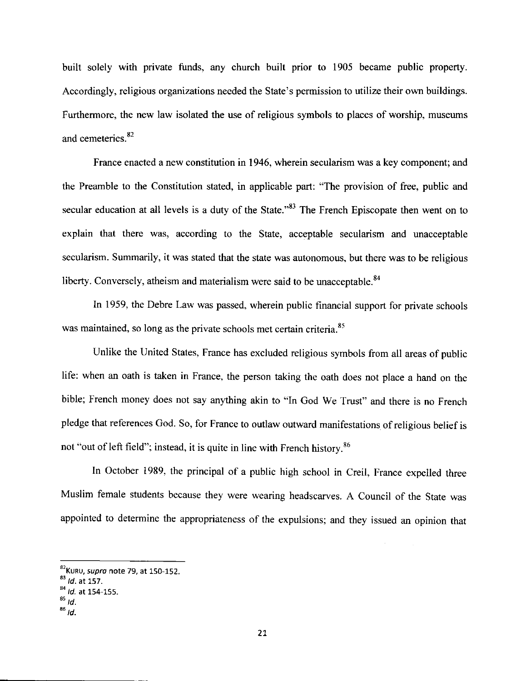built solely with private funds, any church built prior to 1905 became public property. Accordingly, religious organizations needed the State's permission to utilize their own buildings. Furthermore, the new law isolated the use of religious symbols to places of worship, museums and cemeteries.<sup>82</sup>

France enacted a new constitution in 1946, wherein secularism was a key component; and the Preamble to the Constitution stated, in applicable part: "The provision of free, public and secular education at all levels is a duty of the State."<sup>83</sup> The French Episcopate then went on to explain that there was, according to the State, acceptable secularism and unacceptable secularism. Summarily, it was stated that the state was autonomous, but there was to be religious liberty. Conversely, atheism and materialism were said to be unacceptable. $84$ 

In 1959, the Debre Law was passed, wherein public financial support for private schools was maintained, so long as the private schools met certain criteria.<sup>85</sup>

Unlike the United States, France has excluded religious symbols from all areas of public life: when an oath is taken in France, the person taking the oath does not place a hand on the bible; French money does not say anything akin to "In God we Trust" and there is no French pledge that references God. So, for France to outlaw outward manifestations of religious belief is not "out of left field"; instead, it is quite in line with French history.<sup>86</sup>

In october 1989, the principal of a public high school in creil, France expelled three Muslim female students because they were wearing headscarves. A Council of the State was appointed to determine the appropriateness of the expulsions; and they issued an opinion that

<sup>&</sup>lt;sup>82</sup>Kuru, *supro* note 79, at 150-152.

 $^{83}$  *ld.* at 157.<br> $^{84}$  *ld.* at 154-155.

 $^{85}$  Id.

 $^{86}$  Id.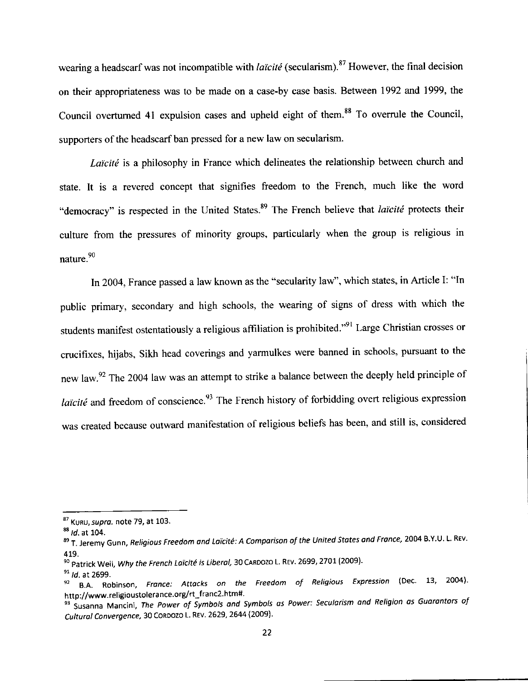wearing a headscarf was not incompatible with *laïcité* (secularism).<sup>87</sup> However, the final decision on their appropriateness was to be made on a case-by case basis. Between 1992 and 1999, the Council overturned 41 expulsion cases and upheld eight of them.<sup>88</sup> To overrule the Council, supporters of the headscarf ban pressed for a new law on secularism.

Laïcité is a philosophy in France which delineates the relationship between church and state. It is a revered concept that signifies freedom to the French, much like the word "democracy" is respected in the United States.<sup>89</sup> The French believe that laïcité protects their culture from the pressures of minority groups, particularly when the group is religious in nature.9o

In 2004, France passed a law known as the "secularity law", which states, in Article I: "In public primary, secondary and high schools, the wearing of signs of dress with which the students manifest ostentatiously a religious affiliation is prohibited."<sup>91</sup> Large Christian crosses or crucifixes, hijabs, Sikh head coverings and yarmulkes were banned in schools, pursuant to the new law.<sup>92</sup> The 2004 law was an attempt to strike a balance between the deeply held principle of *laïcité* and freedom of conscience.<sup>93</sup> The French history of forbidding overt religious expression was created because outward manifestation of religious beliefs has been, and still is, considered

 $^{87}$  Kuru, supra. note 79, at 103.  $^{88}$  Id. at 104.

<sup>89</sup> T. Jeremy Gunn, Religious Freedom and Laïcité: A Comparison of the United States and France, 2004 B.Y.U. L. REv.

<sup>419.&</sup>lt;br><sup>90</sup> Patrick Weil, *Why the French Laïcité is Liberal,* 30 Caroozo L. Rev. 2699, 2701 (2009).

<sup>&</sup>lt;sup>91</sup> Id at 2699.<br><sup>92</sup> B.A. Robinson, *France: Attacks on the Freedom of Religious Expression* (Dec. 13, 2004).<br>. http://www.religioustolerance.org/rt\_franc2.htm#.

<sup>93</sup> Susanna Mancini, The Power of Symbols and Symbols as Power: Secularism and Religion as Guarantors of Cultural Convergence, 30 CORDOZO L. REV. 2629, 2644 (2009).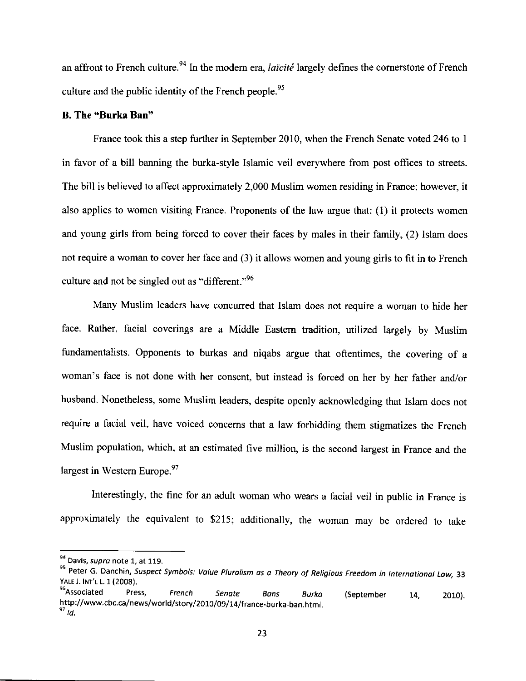an affront to French culture.<sup>94</sup> In the modern era, *laïcité* largely defines the cornerstone of French culture and the public identity of the French people.<sup>95</sup>

#### B. The "Burka Ban"

France took this a step further in September 2010, when the French Senate voted 246 to <sup>1</sup> in favor of a bill banning the burka-style Islamic veil everywhere from post offices to streets. The bill is believed to affect approximately 2,000 Muslim women residing in France; however, it also applies to women visiting France. Proponents of the law argue that: (1) it protects women and young girls from being forced to cover their faces by males in their family, (2) lslam does not require a woman to cover her face and (3) it allows women and young girls to fit in to French culture and not be singled out as "different."<sup>96</sup>

Many Muslim leaders have concurred that Islam does not require a woman to hide her face. Rather, facial coverings are a Middle Eastem tradition, utilized largely by Muslim fundamentalists. Opponents to burkas and niqabs argue that oftentimes, the covering of a woman's face is not done with her consent, but instead is forced on her by her father and/or husband. Nonetheless, some Muslim leaders, despite openly acknowledging that Islam does not require a facial veil, have voiced concems that a law forbidding them stigmatizes the French Muslim population, which, at an estimated five million, is the second largest in France and the largest in Western Europe. $97$ 

Interestingly, the fine for an adult woman who wears a facial veil in public in France is approximately the equivalent to \$215; additionally, the woman may be ordered to take

<sup>&</sup>lt;sup>94</sup> Davis, supra note 1, at 119.

<sup>&</sup>lt;sup>95</sup> Peter G. Danchin, Suspect Symbols: Value Pluralism as a Theory of Religious Freedom in International Law, 33<br>YALE J. INT'L L. 1 (2008). YALE J. INT'L L. 1 (2008).<br><sup>96</sup>Associated Press, *French Senate Bans Burka* 

http://www.cbc.ca/news/world/story/2010/09/14/france-burka-ban.html.<br><sup>97</sup>id. (September 14, 2010).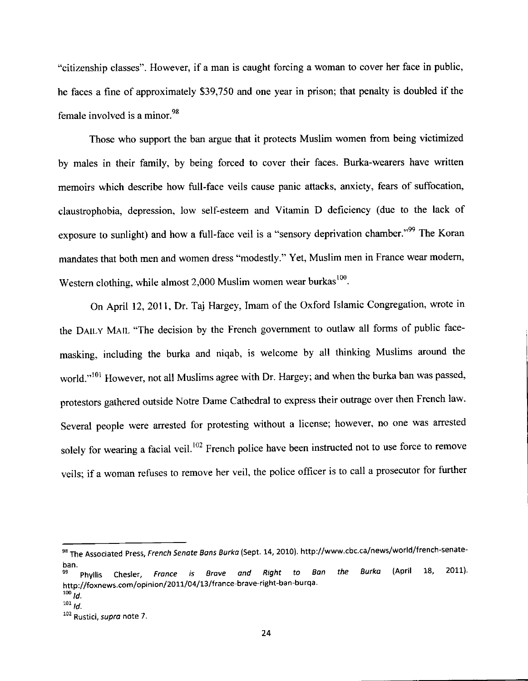"citizenship classes". However, if a man is caught forcing a woman to cover her face in public, he faces a fine of approximately \$39,750 and one year in prison; that penalty is doubled if the female involved is a minor. $98$ 

Those who support the ban argue that it protects Muslim women from being victimized by males in their family, by being forced to cover their faces. Burka-wearers have written memoirs which describe how full-face veils cause panic atlacks, anxiety, fears of suffocation, claustrophobia, depression, low self-esteem and Vitamin D deficiency (due to the lack of exposure to sunlight) and how a full-face veil is a "sensory deprivation chamber."<sup>99</sup> The Koran mandates that both men and women dress "modestly." Yet, Muslim men in France wear modem, Western clothing, while almost 2,000 Muslim women wear burkas<sup>100</sup>.

On April 12, 2011, Dr. Taj Hargey, Imam of the Oxford Islamic Congregation, wrote in the DAILY MAIL "The decision by the French government to outlaw all forms of public facemasking, including the burka and niqab, is welcome by all thinking Muslims around the world."<sup>101</sup> However, not all Muslims agree with Dr. Hargey; and when the burka ban was passed, protestors gathered outside Notre Dame Cathedral to express their outrage over then French law' Several people were arrested for protesting without a license; however, no one was arrested solely for wearing a facial veil.<sup>102</sup> French police have been instructed not to use force to remove veils; if a woman refuses to remove her veil, the police officer is to call a prosecutor for further

<sup>&</sup>lt;sup>98</sup> The Associated Press, French Senate Bans Burka (Sept. 14, 2010). http://www.cbc.ca/news/world/french-senate-

ban.<br><sup>99</sup> Phyllis Chesler*, France is Brave and Right to Ban the Burka* (April 18, 2011). http://foxnews.com/opinion/2011/04/13/france-brave-right-ban-burqa.

 $100$   $10$ .

 $^{101}$  ld.

<sup>102</sup> Rustici, supra note 7.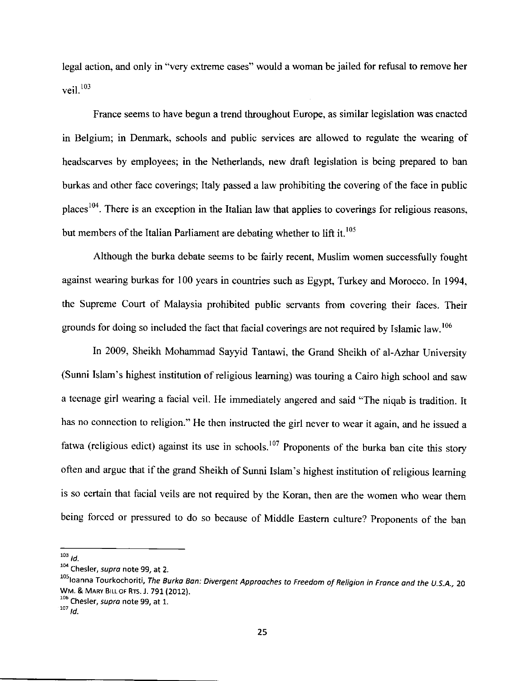legal action, and only in "very extreme cases" would a woman be jailed for refusal to remove her veil.<sup>103</sup>

France seems to have begun a trend throughout Europe, as similar legislation was enacted in Belgium; in Denmark, schools and public services are allowed to regulate the wearing of headscarves by employees; in the Netherlands, new draft legislation is being prepared to ban burkas and other face coverings; Italy passed a law prohibiting the covering of the face in public places<sup>104</sup>. There is an exception in the Italian law that applies to coverings for religious reasons, but members of the Italian Parliament are debating whether to  $\mathop{\text{lift}}$  it.<sup>105</sup>

Although the burka debate seems to be fairly recent, Muslim women successfully fought against wearing burkas for 100 years in countries such as Egypt, Turkey and Morocco. In 1994, the Supreme Court of Malaysia prohibited public servants from covering their faces. Their grounds for doing so included the fact that facial coverings are not required by Islamic law.<sup>106</sup>

In 2009, Sheikh Mohammad Sayyid Tantawi, the Grand Sheikh of al-Azhar University (Sunni Islam's highest institution of religious learning) was touring a Cairo high school and saw <sup>a</sup>teenage girl wearing a facial veil. He immediately angered and said "The niqab is tradition. It has no connection to religion." He then instructed the girl never to wear it again, and he issued <sup>a</sup> fatwa (religious edict) against its use in schools.<sup>107</sup> Proponents of the burka ban cite this story often and argue that if the grand Sheikh of Sunni Islam's highest institution of religious leaming is so certain that facial veils are not required by the Koran, then are the women who wear them being forced or pressured to do so because of Middle Eastern culture? Proponents of the ban

 $^{103}$  *ld.* Chesler, *supra* note 99, at 2.

<sup>&</sup>lt;sup>105</sup>loanna Tourkochoriti, The Burka Ban: Divergent Approaches to Freedom of Religion in France and the U.S.A., 20 WM. & MARY B|LLoF Rrs. J. 791 (2012).

 $t^{106}$  Chesler, *supra* note 99, at 1.<br> $t^{107}$  *td*.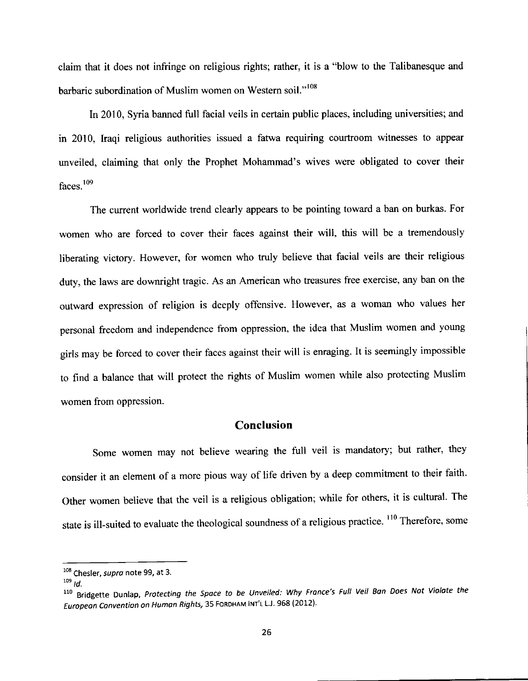claim that it does not infringe on religious rights; rather, it is a "blow to the Talibanesque and barbaric subordination of Muslim women on Western soil."<sup>108</sup>

In 2010, Syria banned full facial veils in certain public places, including universities; and in 2010, Iraqi religious authorities issued a fatwa requiring courtroom witnesses to appear unveiled, claiming that only the Prophet Mohammad's wives were obligated to cover their faces. $109$ 

The current worldwide trend clearly appears to be pointing toward a ban on burkas. For women who are forced to cover their faces against their will, this will be a tremendously liberating victory. However, for women who truly believe that facial veils are their religious duty, the laws are downright tragic. As an American who treasures free exercise, any ban on the outward expression of religion is deeply offensive. However, as a woman who values her personal freedom and independence from oppression, the idea that Muslim women and young girls may be forced to cover their faces against their will is enraging. It is seemingly impossible to find a balance that will protect the rights of Muslim women while also protecting Muslim women from oppression.

### Conclusion

Some women may not believe wearing the full veil is mandatory; but rather, they consider it an element of a more pious way of life driven by a deep commitment to their faith. other women believe that the veil is a religious obligation; while for others, it is cultural. The state is ill-suited to evaluate the theological soundness of a religious practice. <sup>110</sup> Therefore, some

<sup>&</sup>lt;sup>108</sup> Chesler, supra note 99, at 3.

 $109$  *Id.* 

<sup>&</sup>lt;sup>110</sup> Bridgette Dunlap, Protecting the Space to be Unveiled: Why France's Full Veil Ban Does Not Violate the European Convention on Human Rights, 35 FORDHAM INT'L L.J. 968 (2012).